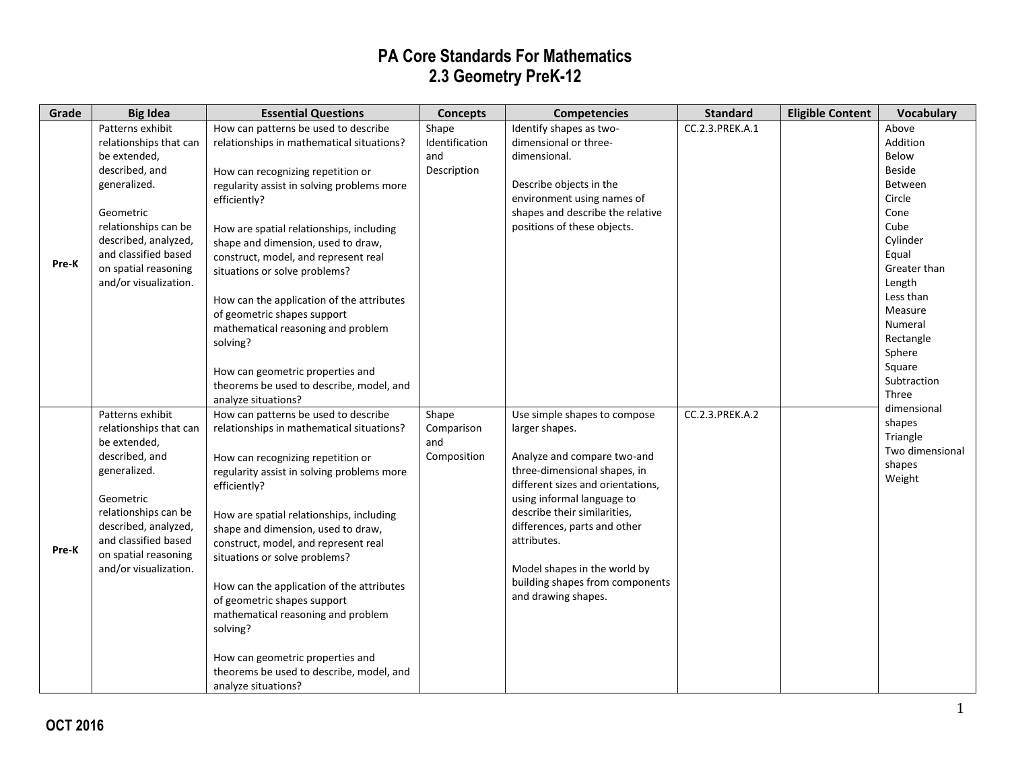| Grade | <b>Big Idea</b>                                                                                                                                                                                                                                        | <b>Essential Questions</b>                                                                                                                                                                                                                                                                                                                                                                                                                                                                                                                                                                                                   | <b>Concepts</b>                                        | <b>Competencies</b>                                                                                                                                                                                                                                                                                                       | <b>Standard</b>                    | <b>Eligible Content</b> | <b>Vocabulary</b>                                                                                                                                                                                                                          |
|-------|--------------------------------------------------------------------------------------------------------------------------------------------------------------------------------------------------------------------------------------------------------|------------------------------------------------------------------------------------------------------------------------------------------------------------------------------------------------------------------------------------------------------------------------------------------------------------------------------------------------------------------------------------------------------------------------------------------------------------------------------------------------------------------------------------------------------------------------------------------------------------------------------|--------------------------------------------------------|---------------------------------------------------------------------------------------------------------------------------------------------------------------------------------------------------------------------------------------------------------------------------------------------------------------------------|------------------------------------|-------------------------|--------------------------------------------------------------------------------------------------------------------------------------------------------------------------------------------------------------------------------------------|
| Pre-K | Patterns exhibit<br>relationships that can<br>be extended,<br>described, and<br>generalized.<br>Geometric<br>relationships can be<br>described, analyzed,<br>and classified based<br>on spatial reasoning<br>and/or visualization.<br>Patterns exhibit | How can patterns be used to describe<br>relationships in mathematical situations?<br>How can recognizing repetition or<br>regularity assist in solving problems more<br>efficiently?<br>How are spatial relationships, including<br>shape and dimension, used to draw,<br>construct, model, and represent real<br>situations or solve problems?<br>How can the application of the attributes<br>of geometric shapes support<br>mathematical reasoning and problem<br>solving?<br>How can geometric properties and<br>theorems be used to describe, model, and<br>analyze situations?<br>How can patterns be used to describe | Shape<br>Identification<br>and<br>Description<br>Shape | Identify shapes as two-<br>dimensional or three-<br>dimensional.<br>Describe objects in the<br>environment using names of<br>shapes and describe the relative<br>positions of these objects.<br>Use simple shapes to compose                                                                                              | CC.2.3.PREK.A.1<br>CC.2.3.PREK.A.2 |                         | Above<br>Addition<br>Below<br><b>Beside</b><br>Between<br>Circle<br>Cone<br>Cube<br>Cylinder<br>Equal<br>Greater than<br>Length<br>Less than<br>Measure<br>Numeral<br>Rectangle<br>Sphere<br>Square<br>Subtraction<br>Three<br>dimensional |
| Pre-K | relationships that can<br>be extended,<br>described, and<br>generalized.<br>Geometric<br>relationships can be<br>described, analyzed,<br>and classified based<br>on spatial reasoning<br>and/or visualization.                                         | relationships in mathematical situations?<br>How can recognizing repetition or<br>regularity assist in solving problems more<br>efficiently?<br>How are spatial relationships, including<br>shape and dimension, used to draw,<br>construct, model, and represent real<br>situations or solve problems?<br>How can the application of the attributes<br>of geometric shapes support<br>mathematical reasoning and problem<br>solving?<br>How can geometric properties and<br>theorems be used to describe, model, and<br>analyze situations?                                                                                 | Comparison<br>and<br>Composition                       | larger shapes.<br>Analyze and compare two-and<br>three-dimensional shapes, in<br>different sizes and orientations,<br>using informal language to<br>describe their similarities,<br>differences, parts and other<br>attributes.<br>Model shapes in the world by<br>building shapes from components<br>and drawing shapes. |                                    |                         | shapes<br>Triangle<br>Two dimensional<br>shapes<br>Weight                                                                                                                                                                                  |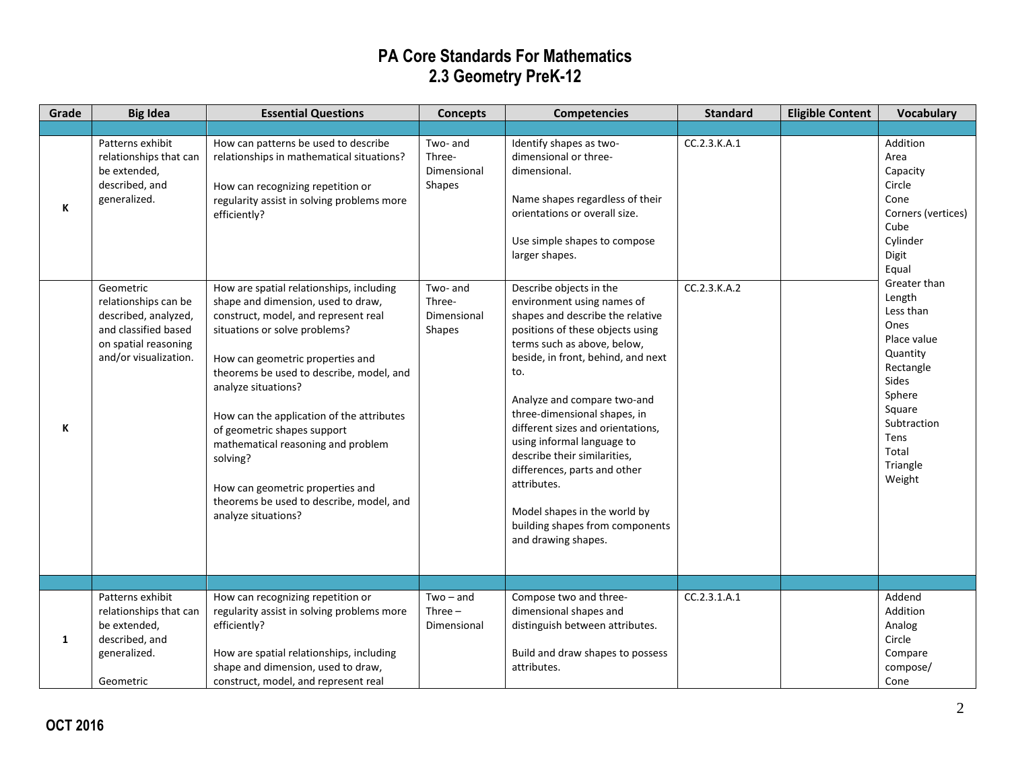| Grade        | <b>Big Idea</b>                                                                                                                    | <b>Essential Questions</b>                                                                                                                                                                                                                                                                                                                                                                                                                                                                          | <b>Concepts</b>                             | <b>Competencies</b>                                                                                                                                                                                                                                                                                                                                                                                                                                                                                                  | <b>Standard</b> | <b>Eligible Content</b> | <b>Vocabulary</b>                                                                                                                                                      |
|--------------|------------------------------------------------------------------------------------------------------------------------------------|-----------------------------------------------------------------------------------------------------------------------------------------------------------------------------------------------------------------------------------------------------------------------------------------------------------------------------------------------------------------------------------------------------------------------------------------------------------------------------------------------------|---------------------------------------------|----------------------------------------------------------------------------------------------------------------------------------------------------------------------------------------------------------------------------------------------------------------------------------------------------------------------------------------------------------------------------------------------------------------------------------------------------------------------------------------------------------------------|-----------------|-------------------------|------------------------------------------------------------------------------------------------------------------------------------------------------------------------|
|              |                                                                                                                                    |                                                                                                                                                                                                                                                                                                                                                                                                                                                                                                     |                                             |                                                                                                                                                                                                                                                                                                                                                                                                                                                                                                                      |                 |                         |                                                                                                                                                                        |
| К            | Patterns exhibit<br>relationships that can<br>be extended,<br>described, and<br>generalized.                                       | How can patterns be used to describe<br>relationships in mathematical situations?<br>How can recognizing repetition or<br>regularity assist in solving problems more<br>efficiently?                                                                                                                                                                                                                                                                                                                | Two- and<br>Three-<br>Dimensional<br>Shapes | Identify shapes as two-<br>dimensional or three-<br>dimensional.<br>Name shapes regardless of their<br>orientations or overall size.<br>Use simple shapes to compose<br>larger shapes.                                                                                                                                                                                                                                                                                                                               | CC.2.3.K.A.1    |                         | Addition<br>Area<br>Capacity<br>Circle<br>Cone<br>Corners (vertices)<br>Cube<br>Cylinder<br>Digit<br>Equal                                                             |
| K            | Geometric<br>relationships can be<br>described, analyzed,<br>and classified based<br>on spatial reasoning<br>and/or visualization. | How are spatial relationships, including<br>shape and dimension, used to draw,<br>construct, model, and represent real<br>situations or solve problems?<br>How can geometric properties and<br>theorems be used to describe, model, and<br>analyze situations?<br>How can the application of the attributes<br>of geometric shapes support<br>mathematical reasoning and problem<br>solving?<br>How can geometric properties and<br>theorems be used to describe, model, and<br>analyze situations? | Two- and<br>Three-<br>Dimensional<br>Shapes | Describe objects in the<br>environment using names of<br>shapes and describe the relative<br>positions of these objects using<br>terms such as above, below,<br>beside, in front, behind, and next<br>to.<br>Analyze and compare two-and<br>three-dimensional shapes, in<br>different sizes and orientations,<br>using informal language to<br>describe their similarities,<br>differences, parts and other<br>attributes.<br>Model shapes in the world by<br>building shapes from components<br>and drawing shapes. | CC.2.3.K.A.2    |                         | Greater than<br>Length<br>Less than<br>Ones<br>Place value<br>Quantity<br>Rectangle<br>Sides<br>Sphere<br>Square<br>Subtraction<br>Tens<br>Total<br>Triangle<br>Weight |
|              |                                                                                                                                    |                                                                                                                                                                                                                                                                                                                                                                                                                                                                                                     |                                             |                                                                                                                                                                                                                                                                                                                                                                                                                                                                                                                      |                 |                         |                                                                                                                                                                        |
| $\mathbf{1}$ | Patterns exhibit<br>relationships that can<br>be extended,<br>described, and<br>generalized.<br>Geometric                          | How can recognizing repetition or<br>regularity assist in solving problems more<br>efficiently?<br>How are spatial relationships, including<br>shape and dimension, used to draw,<br>construct, model, and represent real                                                                                                                                                                                                                                                                           | $Two - and$<br>Three $-$<br>Dimensional     | Compose two and three-<br>dimensional shapes and<br>distinguish between attributes.<br>Build and draw shapes to possess<br>attributes.                                                                                                                                                                                                                                                                                                                                                                               | CC.2.3.1.A.1    |                         | Addend<br>Addition<br>Analog<br>Circle<br>Compare<br>compose/<br>Cone                                                                                                  |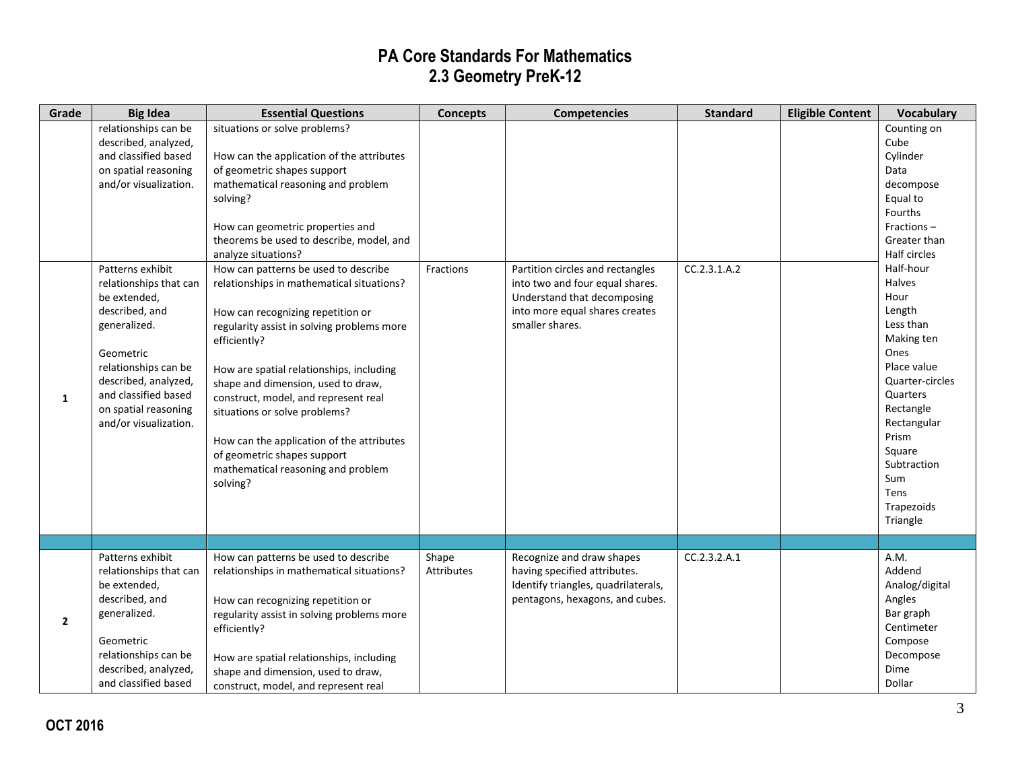| Grade        | <b>Big Idea</b>                                                                                                                                                                                                                                                                                                                                             | <b>Essential Questions</b>                                                                                                                                                                                                                                                                                                                                                                                                                                                                                                                                                                                                                                                                                                                          | <b>Concepts</b>     | <b>Competencies</b>                                                                                                                                     | <b>Standard</b> | <b>Eligible Content</b> | <b>Vocabulary</b>                                                                                                                                                                                                                                                                                                                       |
|--------------|-------------------------------------------------------------------------------------------------------------------------------------------------------------------------------------------------------------------------------------------------------------------------------------------------------------------------------------------------------------|-----------------------------------------------------------------------------------------------------------------------------------------------------------------------------------------------------------------------------------------------------------------------------------------------------------------------------------------------------------------------------------------------------------------------------------------------------------------------------------------------------------------------------------------------------------------------------------------------------------------------------------------------------------------------------------------------------------------------------------------------------|---------------------|---------------------------------------------------------------------------------------------------------------------------------------------------------|-----------------|-------------------------|-----------------------------------------------------------------------------------------------------------------------------------------------------------------------------------------------------------------------------------------------------------------------------------------------------------------------------------------|
| 1            | relationships can be<br>described, analyzed,<br>and classified based<br>on spatial reasoning<br>and/or visualization.<br>Patterns exhibit<br>relationships that can<br>be extended,<br>described, and<br>generalized.<br>Geometric<br>relationships can be<br>described, analyzed,<br>and classified based<br>on spatial reasoning<br>and/or visualization. | situations or solve problems?<br>How can the application of the attributes<br>of geometric shapes support<br>mathematical reasoning and problem<br>solving?<br>How can geometric properties and<br>theorems be used to describe, model, and<br>analyze situations?<br>How can patterns be used to describe<br>relationships in mathematical situations?<br>How can recognizing repetition or<br>regularity assist in solving problems more<br>efficiently?<br>How are spatial relationships, including<br>shape and dimension, used to draw,<br>construct, model, and represent real<br>situations or solve problems?<br>How can the application of the attributes<br>of geometric shapes support<br>mathematical reasoning and problem<br>solving? | Fractions           | Partition circles and rectangles<br>into two and four equal shares.<br>Understand that decomposing<br>into more equal shares creates<br>smaller shares. | CC.2.3.1.A.2    |                         | Counting on<br>Cube<br>Cylinder<br>Data<br>decompose<br>Equal to<br>Fourths<br>Fractions-<br>Greater than<br>Half circles<br>Half-hour<br><b>Halves</b><br>Hour<br>Length<br>Less than<br>Making ten<br>Ones<br>Place value<br>Quarter-circles<br>Quarters<br>Rectangle<br>Rectangular<br>Prism<br>Square<br>Subtraction<br>Sum<br>Tens |
|              |                                                                                                                                                                                                                                                                                                                                                             |                                                                                                                                                                                                                                                                                                                                                                                                                                                                                                                                                                                                                                                                                                                                                     |                     |                                                                                                                                                         |                 |                         | Triangle                                                                                                                                                                                                                                                                                                                                |
| $\mathbf{2}$ | Patterns exhibit<br>relationships that can<br>be extended,<br>described, and<br>generalized.<br>Geometric<br>relationships can be<br>described, analyzed,<br>and classified based                                                                                                                                                                           | How can patterns be used to describe<br>relationships in mathematical situations?<br>How can recognizing repetition or<br>regularity assist in solving problems more<br>efficiently?<br>How are spatial relationships, including<br>shape and dimension, used to draw,<br>construct, model, and represent real                                                                                                                                                                                                                                                                                                                                                                                                                                      | Shape<br>Attributes | Recognize and draw shapes<br>having specified attributes.<br>Identify triangles, quadrilaterals,<br>pentagons, hexagons, and cubes.                     | CC.2.3.2.A.1    |                         | A.M.<br>Addend<br>Analog/digital<br>Angles<br>Bar graph<br>Centimeter<br>Compose<br>Decompose<br>Dime<br>Dollar                                                                                                                                                                                                                         |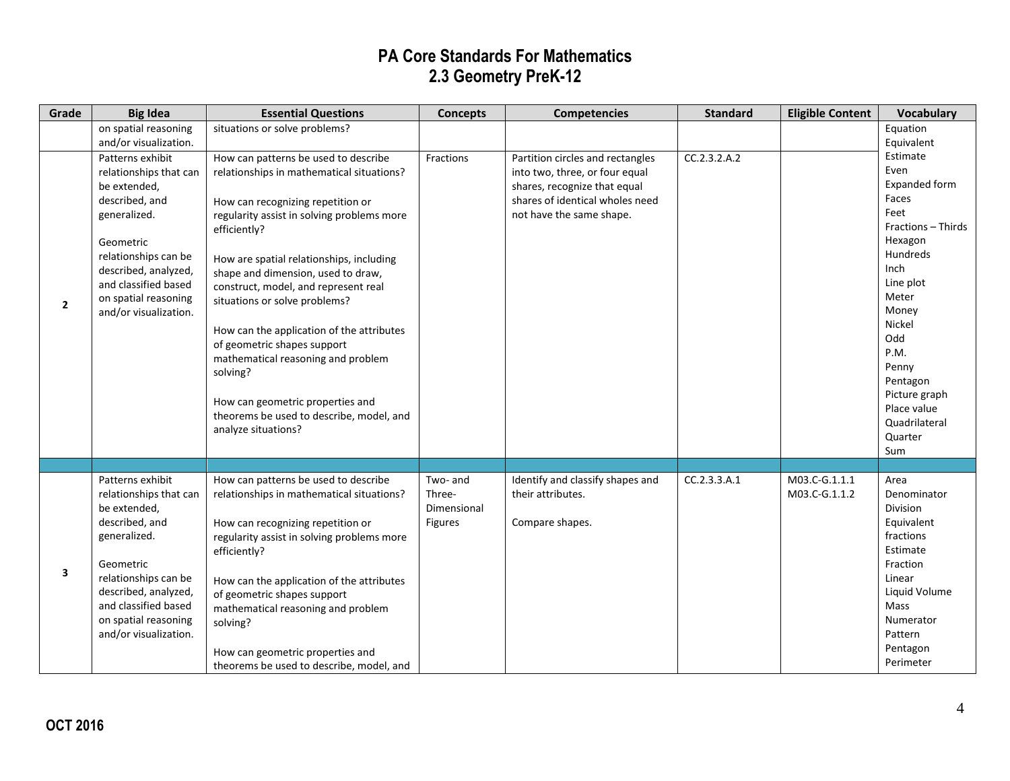| Grade          | <b>Big Idea</b>                                                                                                                                                                                                                    | <b>Essential Questions</b>                                                                                                                                                                                                                                                                                                                                                                                                                                                                                                                                                           | <b>Concepts</b>                              | <b>Competencies</b>                                                                                                                                               | <b>Standard</b> | <b>Eligible Content</b>        | <b>Vocabulary</b>                                                                                                                                                                                                                                       |
|----------------|------------------------------------------------------------------------------------------------------------------------------------------------------------------------------------------------------------------------------------|--------------------------------------------------------------------------------------------------------------------------------------------------------------------------------------------------------------------------------------------------------------------------------------------------------------------------------------------------------------------------------------------------------------------------------------------------------------------------------------------------------------------------------------------------------------------------------------|----------------------------------------------|-------------------------------------------------------------------------------------------------------------------------------------------------------------------|-----------------|--------------------------------|---------------------------------------------------------------------------------------------------------------------------------------------------------------------------------------------------------------------------------------------------------|
|                | on spatial reasoning<br>and/or visualization.                                                                                                                                                                                      | situations or solve problems?                                                                                                                                                                                                                                                                                                                                                                                                                                                                                                                                                        |                                              |                                                                                                                                                                   |                 |                                | Equation<br>Equivalent                                                                                                                                                                                                                                  |
| $\overline{2}$ | Patterns exhibit<br>relationships that can<br>be extended,<br>described, and<br>generalized.<br>Geometric<br>relationships can be<br>described, analyzed,<br>and classified based<br>on spatial reasoning<br>and/or visualization. | How can patterns be used to describe<br>relationships in mathematical situations?<br>How can recognizing repetition or<br>regularity assist in solving problems more<br>efficiently?<br>How are spatial relationships, including<br>shape and dimension, used to draw,<br>construct, model, and represent real<br>situations or solve problems?<br>How can the application of the attributes<br>of geometric shapes support<br>mathematical reasoning and problem<br>solving?<br>How can geometric properties and<br>theorems be used to describe, model, and<br>analyze situations? | Fractions                                    | Partition circles and rectangles<br>into two, three, or four equal<br>shares, recognize that equal<br>shares of identical wholes need<br>not have the same shape. | CC.2.3.2.A.2    |                                | Estimate<br>Even<br>Expanded form<br>Faces<br>Feet<br>Fractions - Thirds<br>Hexagon<br>Hundreds<br>Inch<br>Line plot<br>Meter<br>Money<br>Nickel<br>Odd<br>P.M.<br>Penny<br>Pentagon<br>Picture graph<br>Place value<br>Quadrilateral<br>Quarter<br>Sum |
|                |                                                                                                                                                                                                                                    |                                                                                                                                                                                                                                                                                                                                                                                                                                                                                                                                                                                      |                                              |                                                                                                                                                                   |                 |                                |                                                                                                                                                                                                                                                         |
| 3              | Patterns exhibit<br>relationships that can<br>be extended,<br>described, and<br>generalized.<br>Geometric<br>relationships can be<br>described, analyzed,<br>and classified based<br>on spatial reasoning<br>and/or visualization. | How can patterns be used to describe<br>relationships in mathematical situations?<br>How can recognizing repetition or<br>regularity assist in solving problems more<br>efficiently?<br>How can the application of the attributes<br>of geometric shapes support<br>mathematical reasoning and problem<br>solving?<br>How can geometric properties and<br>theorems be used to describe, model, and                                                                                                                                                                                   | Two- and<br>Three-<br>Dimensional<br>Figures | Identify and classify shapes and<br>their attributes.<br>Compare shapes.                                                                                          | CC.2.3.3.A.1    | M03.C-G.1.1.1<br>M03.C-G.1.1.2 | Area<br>Denominator<br><b>Division</b><br>Equivalent<br>fractions<br>Estimate<br>Fraction<br>Linear<br>Liquid Volume<br>Mass<br>Numerator<br>Pattern<br>Pentagon<br>Perimeter                                                                           |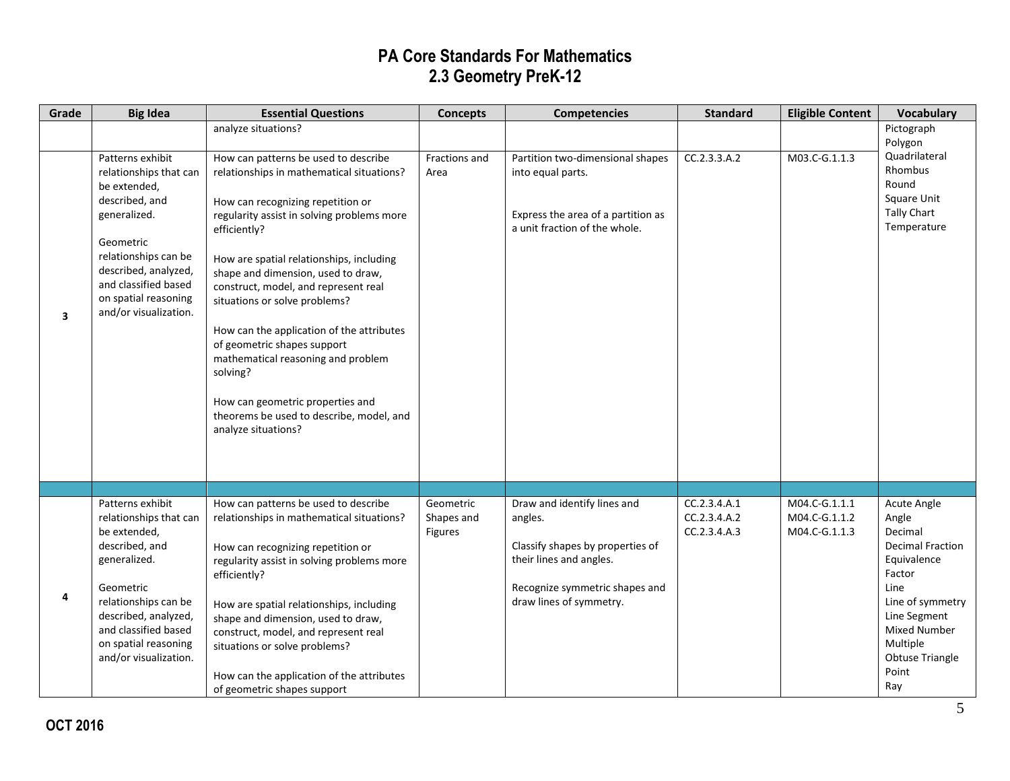| Grade                   | <b>Big Idea</b>                                                                                                                                                                                                                    | <b>Essential Questions</b>                                                                                                                                                                                                                                                                                                                                                                                                                                                                                                                                                           | <b>Concepts</b>                    | <b>Competencies</b>                                                                                                                                                | <b>Standard</b>                              | <b>Eligible Content</b>                         | <b>Vocabulary</b>                                                                                                                                                                                     |
|-------------------------|------------------------------------------------------------------------------------------------------------------------------------------------------------------------------------------------------------------------------------|--------------------------------------------------------------------------------------------------------------------------------------------------------------------------------------------------------------------------------------------------------------------------------------------------------------------------------------------------------------------------------------------------------------------------------------------------------------------------------------------------------------------------------------------------------------------------------------|------------------------------------|--------------------------------------------------------------------------------------------------------------------------------------------------------------------|----------------------------------------------|-------------------------------------------------|-------------------------------------------------------------------------------------------------------------------------------------------------------------------------------------------------------|
|                         |                                                                                                                                                                                                                                    | analyze situations?                                                                                                                                                                                                                                                                                                                                                                                                                                                                                                                                                                  |                                    |                                                                                                                                                                    |                                              |                                                 | Pictograph                                                                                                                                                                                            |
| $\overline{\mathbf{3}}$ | Patterns exhibit<br>relationships that can<br>be extended,<br>described, and<br>generalized.<br>Geometric<br>relationships can be<br>described, analyzed,<br>and classified based<br>on spatial reasoning<br>and/or visualization. | How can patterns be used to describe<br>relationships in mathematical situations?<br>How can recognizing repetition or<br>regularity assist in solving problems more<br>efficiently?<br>How are spatial relationships, including<br>shape and dimension, used to draw,<br>construct, model, and represent real<br>situations or solve problems?<br>How can the application of the attributes<br>of geometric shapes support<br>mathematical reasoning and problem<br>solving?<br>How can geometric properties and<br>theorems be used to describe, model, and<br>analyze situations? | Fractions and<br>Area              | Partition two-dimensional shapes<br>into equal parts.<br>Express the area of a partition as<br>a unit fraction of the whole.                                       | CC.2.3.3.A.2                                 | M03.C-G.1.1.3                                   | Polygon<br>Quadrilateral<br>Rhombus<br>Round<br><b>Square Unit</b><br><b>Tally Chart</b><br>Temperature                                                                                               |
|                         |                                                                                                                                                                                                                                    |                                                                                                                                                                                                                                                                                                                                                                                                                                                                                                                                                                                      |                                    |                                                                                                                                                                    |                                              |                                                 |                                                                                                                                                                                                       |
| 4                       | Patterns exhibit<br>relationships that can<br>be extended,<br>described, and<br>generalized.<br>Geometric<br>relationships can be<br>described, analyzed,<br>and classified based<br>on spatial reasoning<br>and/or visualization. | How can patterns be used to describe<br>relationships in mathematical situations?<br>How can recognizing repetition or<br>regularity assist in solving problems more<br>efficiently?<br>How are spatial relationships, including<br>shape and dimension, used to draw,<br>construct, model, and represent real<br>situations or solve problems?<br>How can the application of the attributes<br>of geometric shapes support                                                                                                                                                          | Geometric<br>Shapes and<br>Figures | Draw and identify lines and<br>angles.<br>Classify shapes by properties of<br>their lines and angles.<br>Recognize symmetric shapes and<br>draw lines of symmetry. | CC.2.3.4.A.1<br>CC.2.3.4.A.2<br>CC.2.3.4.A.3 | M04.C-G.1.1.1<br>M04.C-G.1.1.2<br>M04.C-G.1.1.3 | Acute Angle<br>Angle<br>Decimal<br><b>Decimal Fraction</b><br>Equivalence<br>Factor<br>Line<br>Line of symmetry<br>Line Segment<br><b>Mixed Number</b><br>Multiple<br>Obtuse Triangle<br>Point<br>Ray |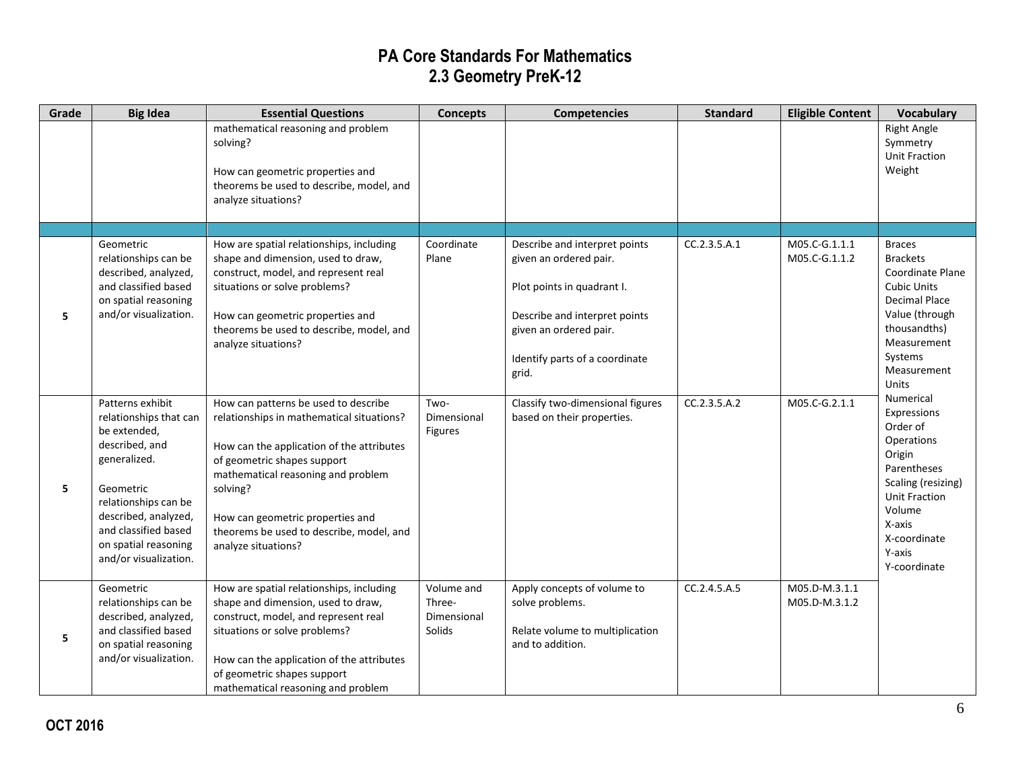| Grade | <b>Big Idea</b>                                                                                                                                                                                                                    | <b>Essential Questions</b>                                                                                                                                                                                                                                                                                             | <b>Concepts</b>                               | <b>Competencies</b>                                                                                                                                                                         | <b>Standard</b> | <b>Eligible Content</b>        | <b>Vocabulary</b>                                                                                                                                                                             |
|-------|------------------------------------------------------------------------------------------------------------------------------------------------------------------------------------------------------------------------------------|------------------------------------------------------------------------------------------------------------------------------------------------------------------------------------------------------------------------------------------------------------------------------------------------------------------------|-----------------------------------------------|---------------------------------------------------------------------------------------------------------------------------------------------------------------------------------------------|-----------------|--------------------------------|-----------------------------------------------------------------------------------------------------------------------------------------------------------------------------------------------|
|       |                                                                                                                                                                                                                                    | mathematical reasoning and problem<br>solving?<br>How can geometric properties and<br>theorems be used to describe, model, and<br>analyze situations?                                                                                                                                                                  |                                               |                                                                                                                                                                                             |                 |                                | <b>Right Angle</b><br>Symmetry<br><b>Unit Fraction</b><br>Weight                                                                                                                              |
|       |                                                                                                                                                                                                                                    |                                                                                                                                                                                                                                                                                                                        |                                               |                                                                                                                                                                                             |                 |                                |                                                                                                                                                                                               |
| 5     | Geometric<br>relationships can be<br>described, analyzed,<br>and classified based<br>on spatial reasoning<br>and/or visualization.                                                                                                 | How are spatial relationships, including<br>shape and dimension, used to draw,<br>construct, model, and represent real<br>situations or solve problems?<br>How can geometric properties and<br>theorems be used to describe, model, and<br>analyze situations?                                                         | Coordinate<br>Plane                           | Describe and interpret points<br>given an ordered pair.<br>Plot points in quadrant I.<br>Describe and interpret points<br>given an ordered pair.<br>Identify parts of a coordinate<br>grid. | CC.2.3.5.A.1    | M05.C-G.1.1.1<br>M05.C-G.1.1.2 | <b>Braces</b><br><b>Brackets</b><br>Coordinate Plane<br><b>Cubic Units</b><br><b>Decimal Place</b><br>Value (through<br>thousandths)<br>Measurement<br>Systems<br>Measurement<br><b>Units</b> |
| 5     | Patterns exhibit<br>relationships that can<br>be extended,<br>described, and<br>generalized.<br>Geometric<br>relationships can be<br>described, analyzed,<br>and classified based<br>on spatial reasoning<br>and/or visualization. | How can patterns be used to describe<br>relationships in mathematical situations?<br>How can the application of the attributes<br>of geometric shapes support<br>mathematical reasoning and problem<br>solving?<br>How can geometric properties and<br>theorems be used to describe, model, and<br>analyze situations? | Two-<br>Dimensional<br><b>Figures</b>         | Classify two-dimensional figures<br>based on their properties.                                                                                                                              | CC.2.3.5.A.2    | M05.C-G.2.1.1                  | Numerical<br>Expressions<br>Order of<br>Operations<br>Origin<br>Parentheses<br>Scaling (resizing)<br><b>Unit Fraction</b><br>Volume<br>X-axis<br>X-coordinate<br>Y-axis<br>Y-coordinate       |
| 5     | Geometric<br>relationships can be<br>described, analyzed,<br>and classified based<br>on spatial reasoning<br>and/or visualization.                                                                                                 | How are spatial relationships, including<br>shape and dimension, used to draw,<br>construct, model, and represent real<br>situations or solve problems?<br>How can the application of the attributes<br>of geometric shapes support<br>mathematical reasoning and problem                                              | Volume and<br>Three-<br>Dimensional<br>Solids | Apply concepts of volume to<br>solve problems.<br>Relate volume to multiplication<br>and to addition.                                                                                       | CC.2.4.5.A.5    | M05.D-M.3.1.1<br>M05.D-M.3.1.2 |                                                                                                                                                                                               |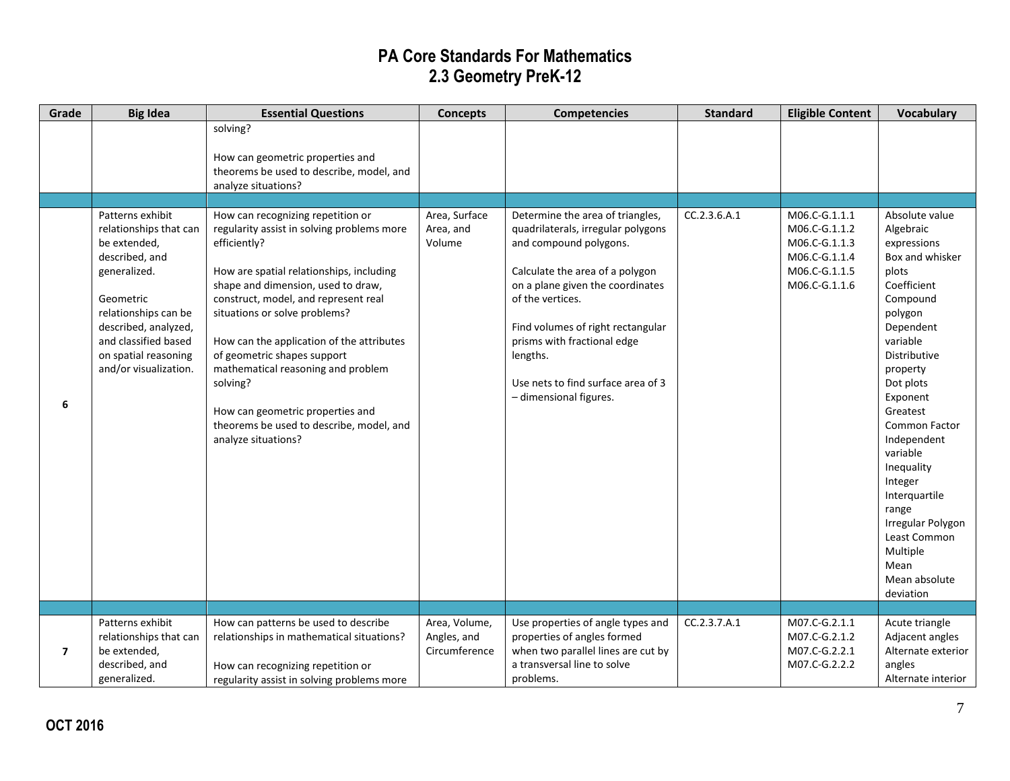| Grade          | <b>Big Idea</b>                                                                                                                                                                                                                    | <b>Essential Questions</b>                                                                                                                                                                                                                                                                                                                                                                                                                                                                      | <b>Concepts</b>                               | <b>Competencies</b>                                                                                                                                                                                                                                                                                                                         | <b>Standard</b> | <b>Eligible Content</b>                                                                            | <b>Vocabulary</b>                                                                                                                                                                                                                                                                                                                                                                            |
|----------------|------------------------------------------------------------------------------------------------------------------------------------------------------------------------------------------------------------------------------------|-------------------------------------------------------------------------------------------------------------------------------------------------------------------------------------------------------------------------------------------------------------------------------------------------------------------------------------------------------------------------------------------------------------------------------------------------------------------------------------------------|-----------------------------------------------|---------------------------------------------------------------------------------------------------------------------------------------------------------------------------------------------------------------------------------------------------------------------------------------------------------------------------------------------|-----------------|----------------------------------------------------------------------------------------------------|----------------------------------------------------------------------------------------------------------------------------------------------------------------------------------------------------------------------------------------------------------------------------------------------------------------------------------------------------------------------------------------------|
|                |                                                                                                                                                                                                                                    | solving?<br>How can geometric properties and<br>theorems be used to describe, model, and<br>analyze situations?                                                                                                                                                                                                                                                                                                                                                                                 |                                               |                                                                                                                                                                                                                                                                                                                                             |                 |                                                                                                    |                                                                                                                                                                                                                                                                                                                                                                                              |
| 6              | Patterns exhibit<br>relationships that can<br>be extended,<br>described, and<br>generalized.<br>Geometric<br>relationships can be<br>described, analyzed,<br>and classified based<br>on spatial reasoning<br>and/or visualization. | How can recognizing repetition or<br>regularity assist in solving problems more<br>efficiently?<br>How are spatial relationships, including<br>shape and dimension, used to draw,<br>construct, model, and represent real<br>situations or solve problems?<br>How can the application of the attributes<br>of geometric shapes support<br>mathematical reasoning and problem<br>solving?<br>How can geometric properties and<br>theorems be used to describe, model, and<br>analyze situations? | Area, Surface<br>Area, and<br>Volume          | Determine the area of triangles,<br>quadrilaterals, irregular polygons<br>and compound polygons.<br>Calculate the area of a polygon<br>on a plane given the coordinates<br>of the vertices.<br>Find volumes of right rectangular<br>prisms with fractional edge<br>lengths.<br>Use nets to find surface area of 3<br>- dimensional figures. | CC.2.3.6.A.1    | M06.C-G.1.1.1<br>M06.C-G.1.1.2<br>M06.C-G.1.1.3<br>M06.C-G.1.1.4<br>M06.C-G.1.1.5<br>M06.C-G.1.1.6 | Absolute value<br>Algebraic<br>expressions<br>Box and whisker<br>plots<br>Coefficient<br>Compound<br>polygon<br>Dependent<br>variable<br>Distributive<br>property<br>Dot plots<br>Exponent<br>Greatest<br>Common Factor<br>Independent<br>variable<br>Inequality<br>Integer<br>Interguartile<br>range<br>Irregular Polygon<br>Least Common<br>Multiple<br>Mean<br>Mean absolute<br>deviation |
|                |                                                                                                                                                                                                                                    |                                                                                                                                                                                                                                                                                                                                                                                                                                                                                                 |                                               |                                                                                                                                                                                                                                                                                                                                             |                 |                                                                                                    |                                                                                                                                                                                                                                                                                                                                                                                              |
| $\overline{ }$ | Patterns exhibit<br>relationships that can<br>be extended,<br>described, and<br>generalized.                                                                                                                                       | How can patterns be used to describe<br>relationships in mathematical situations?<br>How can recognizing repetition or<br>regularity assist in solving problems more                                                                                                                                                                                                                                                                                                                            | Area, Volume,<br>Angles, and<br>Circumference | Use properties of angle types and<br>properties of angles formed<br>when two parallel lines are cut by<br>a transversal line to solve<br>problems.                                                                                                                                                                                          | CC.2.3.7.A.1    | M07.C-G.2.1.1<br>M07.C-G.2.1.2<br>M07.C-G.2.2.1<br>M07.C-G.2.2.2                                   | Acute triangle<br>Adjacent angles<br>Alternate exterior<br>angles<br>Alternate interior                                                                                                                                                                                                                                                                                                      |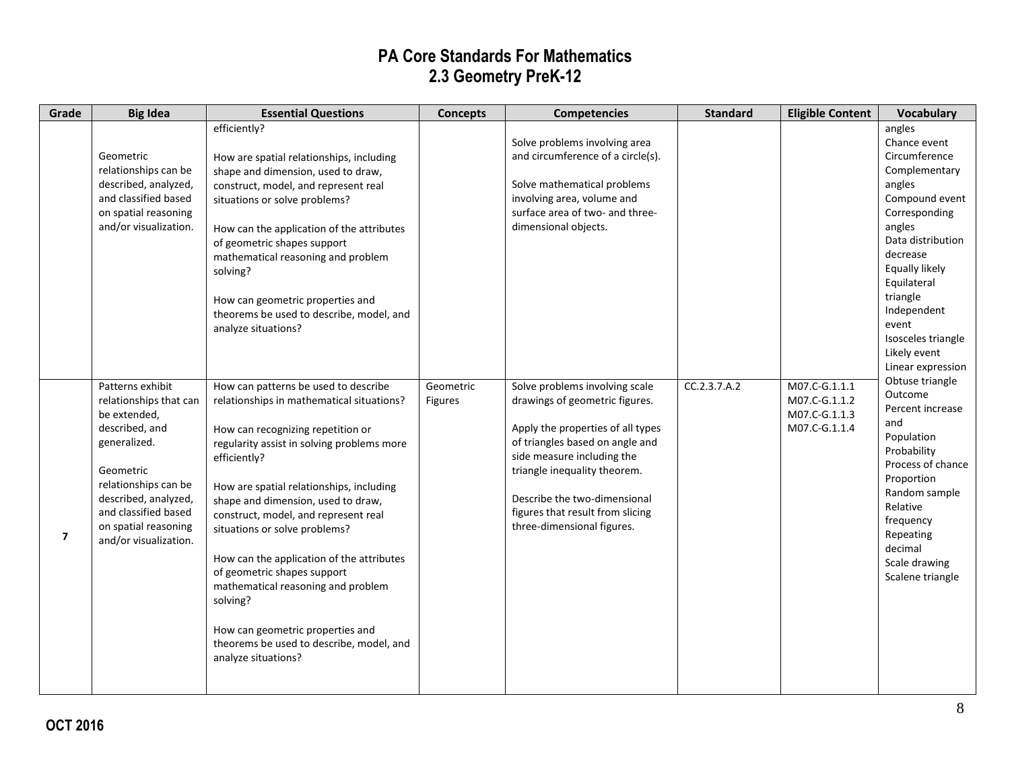| Grade          | <b>Big Idea</b>                                                                                                                                                                                                                    | <b>Essential Questions</b>                                                                                                                                                                                                                                                                                                                                                                                                                                                                                                                                                           | <b>Concepts</b>      | <b>Competencies</b>                                                                                                                                                                                                                                                                                      | <b>Standard</b> | <b>Eligible Content</b>                                          | <b>Vocabulary</b>                                                                                                                                                                                                                                                                |
|----------------|------------------------------------------------------------------------------------------------------------------------------------------------------------------------------------------------------------------------------------|--------------------------------------------------------------------------------------------------------------------------------------------------------------------------------------------------------------------------------------------------------------------------------------------------------------------------------------------------------------------------------------------------------------------------------------------------------------------------------------------------------------------------------------------------------------------------------------|----------------------|----------------------------------------------------------------------------------------------------------------------------------------------------------------------------------------------------------------------------------------------------------------------------------------------------------|-----------------|------------------------------------------------------------------|----------------------------------------------------------------------------------------------------------------------------------------------------------------------------------------------------------------------------------------------------------------------------------|
|                | Geometric<br>relationships can be<br>described, analyzed,<br>and classified based<br>on spatial reasoning<br>and/or visualization.                                                                                                 | efficiently?<br>How are spatial relationships, including<br>shape and dimension, used to draw,<br>construct, model, and represent real<br>situations or solve problems?<br>How can the application of the attributes<br>of geometric shapes support<br>mathematical reasoning and problem<br>solving?<br>How can geometric properties and<br>theorems be used to describe, model, and<br>analyze situations?                                                                                                                                                                         |                      | Solve problems involving area<br>and circumference of a circle(s).<br>Solve mathematical problems<br>involving area, volume and<br>surface area of two- and three-<br>dimensional objects.                                                                                                               |                 |                                                                  | angles<br>Chance event<br>Circumference<br>Complementary<br>angles<br>Compound event<br>Corresponding<br>angles<br>Data distribution<br>decrease<br>Equally likely<br>Equilateral<br>triangle<br>Independent<br>event<br>Isosceles triangle<br>Likely event<br>Linear expression |
| $\overline{7}$ | Patterns exhibit<br>relationships that can<br>be extended,<br>described, and<br>generalized.<br>Geometric<br>relationships can be<br>described, analyzed,<br>and classified based<br>on spatial reasoning<br>and/or visualization. | How can patterns be used to describe<br>relationships in mathematical situations?<br>How can recognizing repetition or<br>regularity assist in solving problems more<br>efficiently?<br>How are spatial relationships, including<br>shape and dimension, used to draw,<br>construct, model, and represent real<br>situations or solve problems?<br>How can the application of the attributes<br>of geometric shapes support<br>mathematical reasoning and problem<br>solving?<br>How can geometric properties and<br>theorems be used to describe, model, and<br>analyze situations? | Geometric<br>Figures | Solve problems involving scale<br>drawings of geometric figures.<br>Apply the properties of all types<br>of triangles based on angle and<br>side measure including the<br>triangle inequality theorem.<br>Describe the two-dimensional<br>figures that result from slicing<br>three-dimensional figures. | CC.2.3.7.A.2    | M07.C-G.1.1.1<br>M07.C-G.1.1.2<br>M07.C-G.1.1.3<br>M07.C-G.1.1.4 | Obtuse triangle<br>Outcome<br>Percent increase<br>and<br>Population<br>Probability<br>Process of chance<br>Proportion<br>Random sample<br>Relative<br>frequency<br>Repeating<br>decimal<br>Scale drawing<br>Scalene triangle                                                     |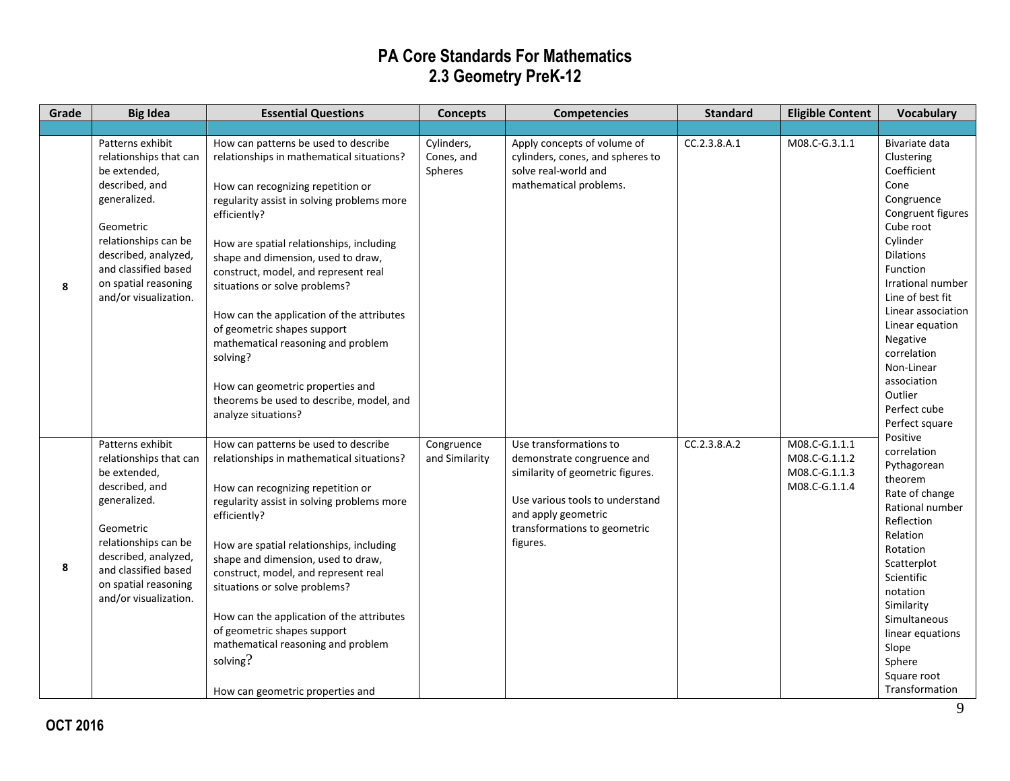| Grade | <b>Big Idea</b>                                                                                                                                                                                                                    | <b>Essential Questions</b>                                                                                                                                                                                                                                                                                                                                                                                                                                                                                                                                                           | <b>Concepts</b>                     | <b>Competencies</b>                                                                                                                                                                            | <b>Standard</b> | <b>Eligible Content</b>                                          | <b>Vocabulary</b>                                                                                                                                                                                                                                                                                                                             |
|-------|------------------------------------------------------------------------------------------------------------------------------------------------------------------------------------------------------------------------------------|--------------------------------------------------------------------------------------------------------------------------------------------------------------------------------------------------------------------------------------------------------------------------------------------------------------------------------------------------------------------------------------------------------------------------------------------------------------------------------------------------------------------------------------------------------------------------------------|-------------------------------------|------------------------------------------------------------------------------------------------------------------------------------------------------------------------------------------------|-----------------|------------------------------------------------------------------|-----------------------------------------------------------------------------------------------------------------------------------------------------------------------------------------------------------------------------------------------------------------------------------------------------------------------------------------------|
|       |                                                                                                                                                                                                                                    |                                                                                                                                                                                                                                                                                                                                                                                                                                                                                                                                                                                      |                                     |                                                                                                                                                                                                |                 |                                                                  |                                                                                                                                                                                                                                                                                                                                               |
| 8     | Patterns exhibit<br>relationships that can<br>be extended,<br>described, and<br>generalized.<br>Geometric<br>relationships can be<br>described, analyzed,<br>and classified based<br>on spatial reasoning<br>and/or visualization. | How can patterns be used to describe<br>relationships in mathematical situations?<br>How can recognizing repetition or<br>regularity assist in solving problems more<br>efficiently?<br>How are spatial relationships, including<br>shape and dimension, used to draw,<br>construct, model, and represent real<br>situations or solve problems?<br>How can the application of the attributes<br>of geometric shapes support<br>mathematical reasoning and problem<br>solving?<br>How can geometric properties and<br>theorems be used to describe, model, and<br>analyze situations? | Cylinders,<br>Cones, and<br>Spheres | Apply concepts of volume of<br>cylinders, cones, and spheres to<br>solve real-world and<br>mathematical problems.                                                                              | CC.2.3.8.A.1    | M08.C-G.3.1.1                                                    | Bivariate data<br>Clustering<br>Coefficient<br>Cone<br>Congruence<br>Congruent figures<br>Cube root<br>Cylinder<br><b>Dilations</b><br>Function<br><b>Irrational number</b><br>Line of best fit<br>Linear association<br>Linear equation<br>Negative<br>correlation<br>Non-Linear<br>association<br>Outlier<br>Perfect cube<br>Perfect square |
| 8     | Patterns exhibit<br>relationships that can<br>be extended,<br>described, and<br>generalized.<br>Geometric<br>relationships can be<br>described, analyzed,<br>and classified based<br>on spatial reasoning<br>and/or visualization. | How can patterns be used to describe<br>relationships in mathematical situations?<br>How can recognizing repetition or<br>regularity assist in solving problems more<br>efficiently?<br>How are spatial relationships, including<br>shape and dimension, used to draw,<br>construct, model, and represent real<br>situations or solve problems?<br>How can the application of the attributes<br>of geometric shapes support<br>mathematical reasoning and problem<br>solving?<br>How can geometric properties and                                                                    | Congruence<br>and Similarity        | Use transformations to<br>demonstrate congruence and<br>similarity of geometric figures.<br>Use various tools to understand<br>and apply geometric<br>transformations to geometric<br>figures. | CC.2.3.8.A.2    | M08.C-G.1.1.1<br>M08.C-G.1.1.2<br>M08.C-G.1.1.3<br>M08.C-G.1.1.4 | Positive<br>correlation<br>Pythagorean<br>theorem<br>Rate of change<br>Rational number<br>Reflection<br>Relation<br>Rotation<br>Scatterplot<br>Scientific<br>notation<br>Similarity<br>Simultaneous<br>linear equations<br>Slope<br>Sphere<br>Square root<br>Transformation                                                                   |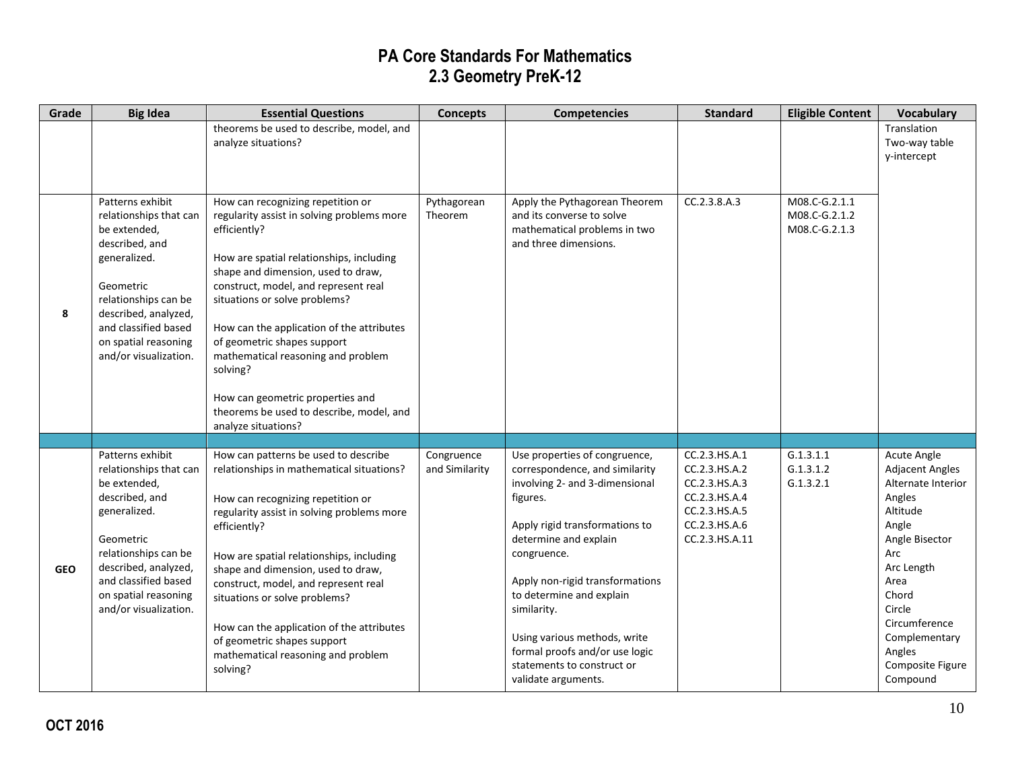| Grade      | <b>Big Idea</b>                              | <b>Essential Questions</b>                                                      | <b>Concepts</b>        | <b>Competencies</b>                                              | <b>Standard</b>                | <b>Eligible Content</b>        | <b>Vocabulary</b>                     |
|------------|----------------------------------------------|---------------------------------------------------------------------------------|------------------------|------------------------------------------------------------------|--------------------------------|--------------------------------|---------------------------------------|
|            |                                              | theorems be used to describe, model, and                                        |                        |                                                                  |                                |                                | Translation<br>Two-way table          |
|            |                                              | analyze situations?                                                             |                        |                                                                  |                                |                                | y-intercept                           |
|            |                                              |                                                                                 |                        |                                                                  |                                |                                |                                       |
|            |                                              |                                                                                 |                        |                                                                  |                                |                                |                                       |
|            | Patterns exhibit<br>relationships that can   | How can recognizing repetition or<br>regularity assist in solving problems more | Pythagorean<br>Theorem | Apply the Pythagorean Theorem<br>and its converse to solve       | CC.2.3.8.A.3                   | M08.C-G.2.1.1<br>M08.C-G.2.1.2 |                                       |
|            | be extended,                                 | efficiently?                                                                    |                        | mathematical problems in two                                     |                                | M08.C-G.2.1.3                  |                                       |
|            | described, and                               |                                                                                 |                        | and three dimensions.                                            |                                |                                |                                       |
|            | generalized.                                 | How are spatial relationships, including<br>shape and dimension, used to draw,  |                        |                                                                  |                                |                                |                                       |
|            | Geometric                                    | construct, model, and represent real                                            |                        |                                                                  |                                |                                |                                       |
| 8          | relationships can be<br>described, analyzed, | situations or solve problems?                                                   |                        |                                                                  |                                |                                |                                       |
|            | and classified based                         | How can the application of the attributes                                       |                        |                                                                  |                                |                                |                                       |
|            | on spatial reasoning                         | of geometric shapes support                                                     |                        |                                                                  |                                |                                |                                       |
|            | and/or visualization.                        | mathematical reasoning and problem<br>solving?                                  |                        |                                                                  |                                |                                |                                       |
|            |                                              |                                                                                 |                        |                                                                  |                                |                                |                                       |
|            |                                              | How can geometric properties and                                                |                        |                                                                  |                                |                                |                                       |
|            |                                              | theorems be used to describe, model, and<br>analyze situations?                 |                        |                                                                  |                                |                                |                                       |
|            |                                              |                                                                                 |                        |                                                                  |                                |                                |                                       |
|            | Patterns exhibit                             | How can patterns be used to describe                                            | Congruence             | Use properties of congruence,                                    | CC.2.3.HS.A.1                  | G.1.3.1.1                      | Acute Angle                           |
|            | relationships that can<br>be extended,       | relationships in mathematical situations?                                       | and Similarity         | correspondence, and similarity<br>involving 2- and 3-dimensional | CC.2.3.HS.A.2<br>CC.2.3.HS.A.3 | G.1.3.1.2<br>G.1.3.2.1         | Adjacent Angles<br>Alternate Interior |
|            | described, and                               | How can recognizing repetition or                                               |                        | figures.                                                         | CC.2.3.HS.A.4                  |                                | Angles                                |
|            | generalized.                                 | regularity assist in solving problems more                                      |                        | Apply rigid transformations to                                   | CC.2.3.HS.A.5<br>CC.2.3.HS.A.6 |                                | Altitude<br>Angle                     |
|            | Geometric                                    | efficiently?                                                                    |                        | determine and explain                                            | CC.2.3.HS.A.11                 |                                | Angle Bisector                        |
|            | relationships can be                         | How are spatial relationships, including                                        |                        | congruence.                                                      |                                |                                | Arc                                   |
| <b>GEO</b> | described, analyzed,<br>and classified based | shape and dimension, used to draw,                                              |                        | Apply non-rigid transformations                                  |                                |                                | Arc Length<br>Area                    |
|            | on spatial reasoning                         | construct, model, and represent real<br>situations or solve problems?           |                        | to determine and explain                                         |                                |                                | Chord                                 |
|            | and/or visualization.                        |                                                                                 |                        | similarity.                                                      |                                |                                | Circle                                |
|            |                                              | How can the application of the attributes                                       |                        | Using various methods, write                                     |                                |                                | Circumference<br>Complementary        |
|            |                                              | of geometric shapes support<br>mathematical reasoning and problem               |                        | formal proofs and/or use logic                                   |                                |                                | Angles                                |
|            |                                              | solving?                                                                        |                        | statements to construct or                                       |                                |                                | Composite Figure                      |
|            |                                              |                                                                                 |                        | validate arguments.                                              |                                |                                | Compound                              |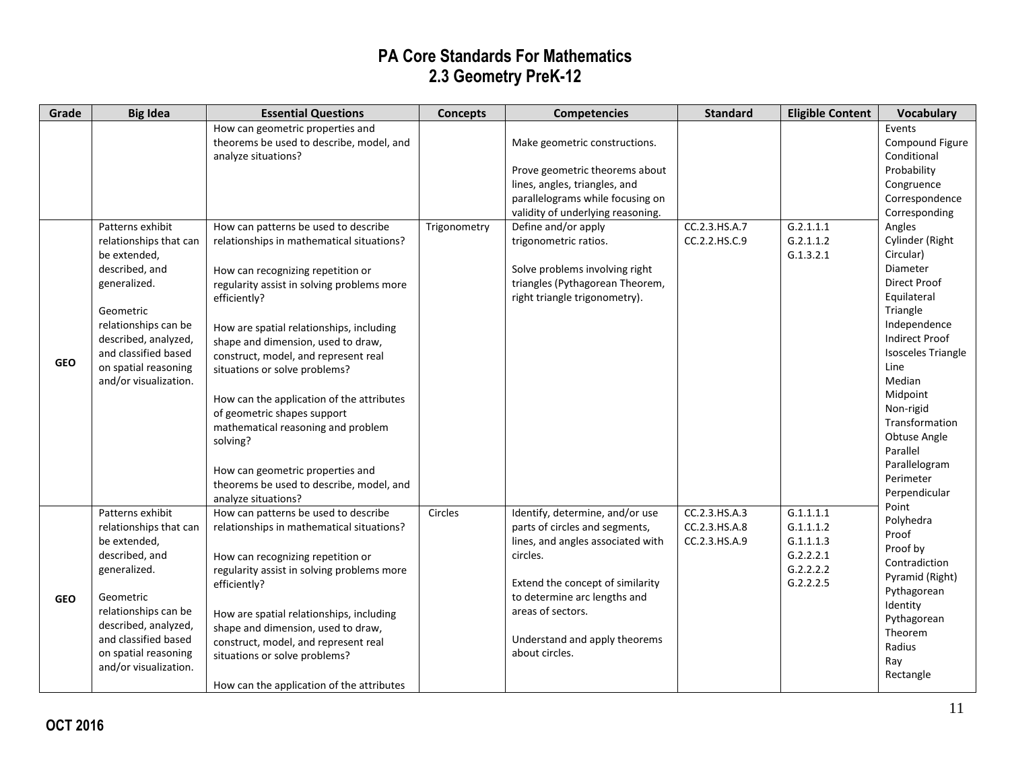| Grade      | <b>Big Idea</b>                                                                                                                                                                                                                    | <b>Essential Questions</b>                                                                                                                                                                                                                                                                                                                                                                                                                                                                                                                                                           | <b>Concepts</b> | <b>Competencies</b>                                                                                                                                                                                                                                            | <b>Standard</b>                                 | <b>Eligible Content</b>                                                    | <b>Vocabulary</b>                                                                                                                                                                                                                                                                                           |
|------------|------------------------------------------------------------------------------------------------------------------------------------------------------------------------------------------------------------------------------------|--------------------------------------------------------------------------------------------------------------------------------------------------------------------------------------------------------------------------------------------------------------------------------------------------------------------------------------------------------------------------------------------------------------------------------------------------------------------------------------------------------------------------------------------------------------------------------------|-----------------|----------------------------------------------------------------------------------------------------------------------------------------------------------------------------------------------------------------------------------------------------------------|-------------------------------------------------|----------------------------------------------------------------------------|-------------------------------------------------------------------------------------------------------------------------------------------------------------------------------------------------------------------------------------------------------------------------------------------------------------|
|            |                                                                                                                                                                                                                                    | How can geometric properties and<br>theorems be used to describe, model, and<br>analyze situations?                                                                                                                                                                                                                                                                                                                                                                                                                                                                                  |                 | Make geometric constructions.<br>Prove geometric theorems about<br>lines, angles, triangles, and<br>parallelograms while focusing on<br>validity of underlying reasoning.                                                                                      |                                                 |                                                                            | Events<br>Compound Figure<br>Conditional<br>Probability<br>Congruence<br>Correspondence<br>Corresponding                                                                                                                                                                                                    |
| <b>GEO</b> | Patterns exhibit<br>relationships that can<br>be extended,<br>described, and<br>generalized.<br>Geometric<br>relationships can be<br>described, analyzed,<br>and classified based<br>on spatial reasoning<br>and/or visualization. | How can patterns be used to describe<br>relationships in mathematical situations?<br>How can recognizing repetition or<br>regularity assist in solving problems more<br>efficiently?<br>How are spatial relationships, including<br>shape and dimension, used to draw,<br>construct, model, and represent real<br>situations or solve problems?<br>How can the application of the attributes<br>of geometric shapes support<br>mathematical reasoning and problem<br>solving?<br>How can geometric properties and<br>theorems be used to describe, model, and<br>analyze situations? | Trigonometry    | Define and/or apply<br>trigonometric ratios.<br>Solve problems involving right<br>triangles (Pythagorean Theorem,<br>right triangle trigonometry).                                                                                                             | CC.2.3.HS.A.7<br>CC.2.2.HS.C.9                  | G.2.1.1.1<br>G.2.1.1.2<br>G.1.3.2.1                                        | Angles<br>Cylinder (Right<br>Circular)<br>Diameter<br>Direct Proof<br>Equilateral<br>Triangle<br>Independence<br><b>Indirect Proof</b><br><b>Isosceles Triangle</b><br>Line<br>Median<br>Midpoint<br>Non-rigid<br>Transformation<br>Obtuse Angle<br>Parallel<br>Parallelogram<br>Perimeter<br>Perpendicular |
| <b>GEO</b> | Patterns exhibit<br>relationships that can<br>be extended,<br>described, and<br>generalized.<br>Geometric<br>relationships can be<br>described, analyzed,<br>and classified based<br>on spatial reasoning<br>and/or visualization. | How can patterns be used to describe<br>relationships in mathematical situations?<br>How can recognizing repetition or<br>regularity assist in solving problems more<br>efficiently?<br>How are spatial relationships, including<br>shape and dimension, used to draw,<br>construct, model, and represent real<br>situations or solve problems?<br>How can the application of the attributes                                                                                                                                                                                         | Circles         | Identify, determine, and/or use<br>parts of circles and segments,<br>lines, and angles associated with<br>circles.<br>Extend the concept of similarity<br>to determine arc lengths and<br>areas of sectors.<br>Understand and apply theorems<br>about circles. | CC.2.3.HS.A.3<br>CC.2.3.HS.A.8<br>CC.2.3.HS.A.9 | G.1.1.1.1<br>G.1.1.1.2<br>G.1.1.1.3<br>G.2.2.2.1<br>G.2.2.2.2<br>G.2.2.2.5 | Point<br>Polyhedra<br>Proof<br>Proof by<br>Contradiction<br>Pyramid (Right)<br>Pythagorean<br>Identity<br>Pythagorean<br>Theorem<br>Radius<br>Ray<br>Rectangle                                                                                                                                              |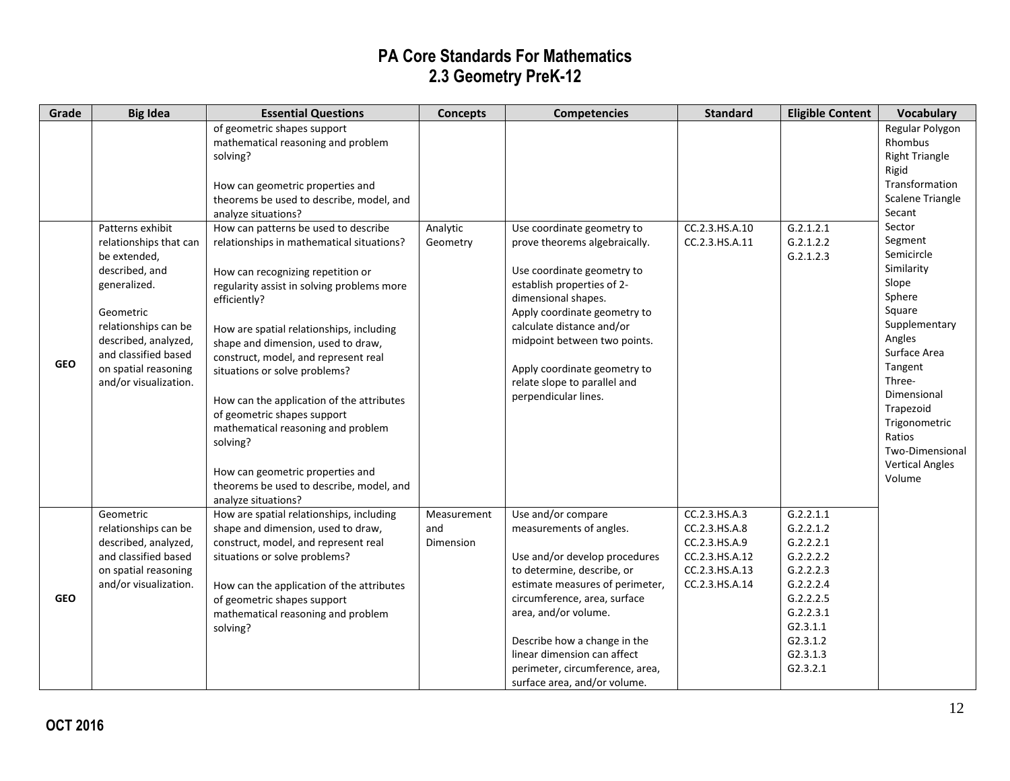| Grade      | <b>Big Idea</b>                                                                                                                    | <b>Essential Questions</b>                                                                                                                                                                                                                                                                                                                                                                                               | <b>Concepts</b>                 | <b>Competencies</b>                                                                                                                                                                                                                                                                                                                       | <b>Standard</b>                                                                                       | <b>Eligible Content</b>                                                                                                                              | <b>Vocabulary</b>                                                                                                                                                                                           |
|------------|------------------------------------------------------------------------------------------------------------------------------------|--------------------------------------------------------------------------------------------------------------------------------------------------------------------------------------------------------------------------------------------------------------------------------------------------------------------------------------------------------------------------------------------------------------------------|---------------------------------|-------------------------------------------------------------------------------------------------------------------------------------------------------------------------------------------------------------------------------------------------------------------------------------------------------------------------------------------|-------------------------------------------------------------------------------------------------------|------------------------------------------------------------------------------------------------------------------------------------------------------|-------------------------------------------------------------------------------------------------------------------------------------------------------------------------------------------------------------|
|            | Patterns exhibit<br>relationships that can<br>be extended,<br>described, and<br>generalized.<br>Geometric<br>relationships can be  | of geometric shapes support<br>mathematical reasoning and problem<br>solving?<br>How can geometric properties and<br>theorems be used to describe, model, and<br>analyze situations?<br>How can patterns be used to describe<br>relationships in mathematical situations?<br>How can recognizing repetition or<br>regularity assist in solving problems more<br>efficiently?<br>How are spatial relationships, including | Analytic<br>Geometry            | Use coordinate geometry to<br>prove theorems algebraically.<br>Use coordinate geometry to<br>establish properties of 2-<br>dimensional shapes.<br>Apply coordinate geometry to<br>calculate distance and/or                                                                                                                               | CC.2.3.HS.A.10<br>CC.2.3.HS.A.11                                                                      | G.2.1.2.1<br>G.2.1.2.2<br>G.2.1.2.3                                                                                                                  | Regular Polygon<br>Rhombus<br><b>Right Triangle</b><br>Rigid<br>Transformation<br>Scalene Triangle<br>Secant<br>Sector<br>Segment<br>Semicircle<br>Similarity<br>Slope<br>Sphere<br>Square<br>Supplementary |
| <b>GEO</b> | described, analyzed,<br>and classified based<br>on spatial reasoning<br>and/or visualization.                                      | shape and dimension, used to draw,<br>construct, model, and represent real<br>situations or solve problems?<br>How can the application of the attributes<br>of geometric shapes support<br>mathematical reasoning and problem<br>solving?<br>How can geometric properties and<br>theorems be used to describe, model, and<br>analyze situations?                                                                         |                                 | midpoint between two points.<br>Apply coordinate geometry to<br>relate slope to parallel and<br>perpendicular lines.                                                                                                                                                                                                                      |                                                                                                       |                                                                                                                                                      | Angles<br>Surface Area<br>Tangent<br>Three-<br>Dimensional<br>Trapezoid<br>Trigonometric<br>Ratios<br>Two-Dimensional<br><b>Vertical Angles</b><br>Volume                                                   |
| <b>GEO</b> | Geometric<br>relationships can be<br>described, analyzed,<br>and classified based<br>on spatial reasoning<br>and/or visualization. | How are spatial relationships, including<br>shape and dimension, used to draw,<br>construct, model, and represent real<br>situations or solve problems?<br>How can the application of the attributes<br>of geometric shapes support<br>mathematical reasoning and problem<br>solving?                                                                                                                                    | Measurement<br>and<br>Dimension | Use and/or compare<br>measurements of angles.<br>Use and/or develop procedures<br>to determine, describe, or<br>estimate measures of perimeter,<br>circumference, area, surface<br>area, and/or volume.<br>Describe how a change in the<br>linear dimension can affect<br>perimeter, circumference, area,<br>surface area, and/or volume. | CC.2.3.HS.A.3<br>CC.2.3.HS.A.8<br>CC.2.3.HS.A.9<br>CC.2.3.HS.A.12<br>CC.2.3.HS.A.13<br>CC.2.3.HS.A.14 | G.2.2.1.1<br>G.2.2.1.2<br>G.2.2.2.1<br>G.2.2.2.2<br>G.2.2.2.3<br>G.2.2.2.4<br>G.2.2.2.5<br>G.2.2.3.1<br>G2.3.1.1<br>G2.3.1.2<br>G2.3.1.3<br>G2.3.2.1 |                                                                                                                                                                                                             |